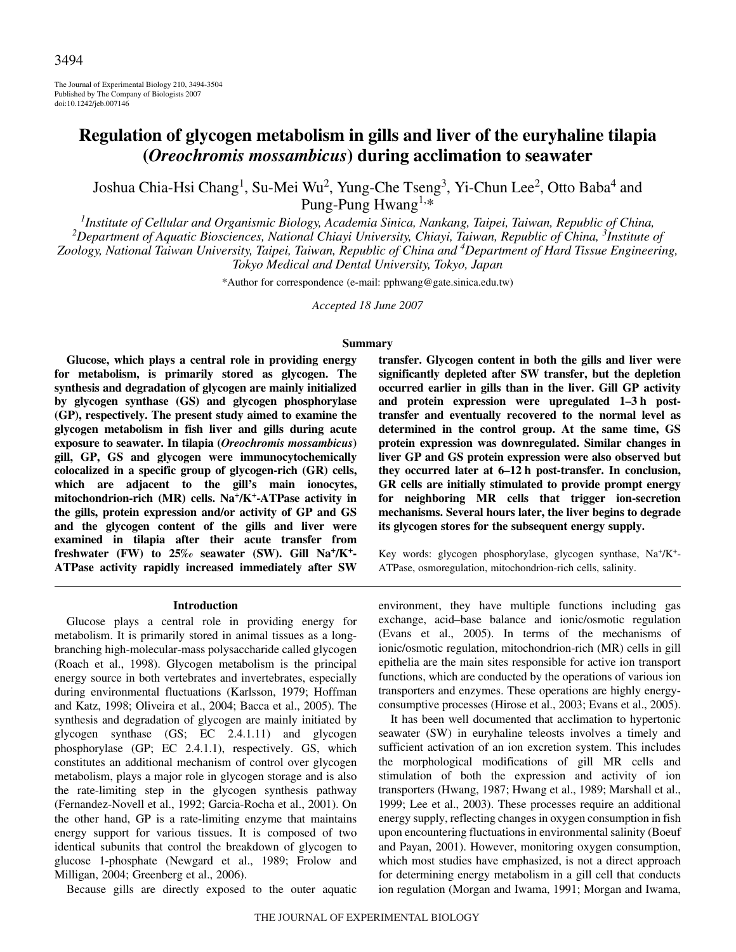The Journal of Experimental Biology 210, 3494-3504 Published by The Company of Biologists 2007 doi:10.1242/jeb.007146

# **Regulation of glycogen metabolism in gills and liver of the euryhaline tilapia (***Oreochromis mossambicus***) during acclimation to seawater**

Joshua Chia-Hsi Chang<sup>1</sup>, Su-Mei Wu<sup>2</sup>, Yung-Che Tseng<sup>3</sup>, Yi-Chun Lee<sup>2</sup>, Otto Baba<sup>4</sup> and Pung-Pung Hwang<sup>1,\*</sup>

*1 Institute of Cellular and Organismic Biology, Academia Sinica, Nankang, Taipei, Taiwan, Republic of China, <sup>2</sup> Department of Aquatic Biosciences, National Chiayi University, Chiayi, Taiwan, Republic of China, 3 Institute of Zoology, National Taiwan University, Taipei, Taiwan, Republic of China and 4 Department of Hard Tissue Engineering, Tokyo Medical and Dental University, Tokyo, Japan*

\*Author for correspondence (e-mail: pphwang@gate.sinica.edu.tw)

*Accepted 18 June 2007*

### **Summary**

**Glucose, which plays a central role in providing energy for metabolism, is primarily stored as glycogen. The synthesis and degradation of glycogen are mainly initialized by glycogen synthase (GS) and glycogen phosphorylase (GP), respectively. The present study aimed to examine the glycogen metabolism in fish liver and gills during acute exposure to seawater. In tilapia (***Oreochromis mossambicus***) gill, GP, GS and glycogen were immunocytochemically colocalized in a specific group of glycogen-rich (GR) cells, which are adjacent to the gill's main ionocytes, mitochondrion-rich (MR) cells. Na+/K+-ATPase activity in the gills, protein expression and/or activity of GP and GS and the glycogen content of the gills and liver were examined in tilapia after their acute transfer from freshwater (FW) to 25‰ seawater (SW). Gill Na+/K+- ATPase activity rapidly increased immediately after SW**

#### **Introduction**

Glucose plays a central role in providing energy for metabolism. It is primarily stored in animal tissues as a longbranching high-molecular-mass polysaccharide called glycogen (Roach et al., 1998). Glycogen metabolism is the principal energy source in both vertebrates and invertebrates, especially during environmental fluctuations (Karlsson, 1979; Hoffman and Katz, 1998; Oliveira et al., 2004; Bacca et al., 2005). The synthesis and degradation of glycogen are mainly initiated by glycogen synthase (GS; EC 2.4.1.11) and glycogen phosphorylase (GP; EC 2.4.1.1), respectively. GS, which constitutes an additional mechanism of control over glycogen metabolism, plays a major role in glycogen storage and is also the rate-limiting step in the glycogen synthesis pathway (Fernandez-Novell et al., 1992; Garcia-Rocha et al., 2001). On the other hand, GP is a rate-limiting enzyme that maintains energy support for various tissues. It is composed of two identical subunits that control the breakdown of glycogen to glucose 1-phosphate (Newgard et al., 1989; Frolow and Milligan, 2004; Greenberg et al., 2006).

Because gills are directly exposed to the outer aquatic

**transfer. Glycogen content in both the gills and liver were significantly depleted after SW transfer, but the depletion occurred earlier in gills than in the liver. Gill GP activity** and protein expression were upregulated 1-3 h post**transfer and eventually recovered to the normal level as determined in the control group. At the same time, GS protein expression was downregulated. Similar changes in liver GP and GS protein expression were also observed but** they occurred later at  $6-12$  h post-transfer. In conclusion, **GR cells are initially stimulated to provide prompt energy for neighboring MR cells that trigger ion-secretion mechanisms. Several hours later, the liver begins to degrade its glycogen stores for the subsequent energy supply.**

Key words: glycogen phosphorylase, glycogen synthase, Na+/K+- ATPase, osmoregulation, mitochondrion-rich cells, salinity.

environment, they have multiple functions including gas exchange, acid–base balance and ionic/osmotic regulation (Evans et al., 2005). In terms of the mechanisms of ionic/osmotic regulation, mitochondrion-rich (MR) cells in gill epithelia are the main sites responsible for active ion transport functions, which are conducted by the operations of various ion transporters and enzymes. These operations are highly energyconsumptive processes (Hirose et al., 2003; Evans et al., 2005).

It has been well documented that acclimation to hypertonic seawater (SW) in euryhaline teleosts involves a timely and sufficient activation of an ion excretion system. This includes the morphological modifications of gill MR cells and stimulation of both the expression and activity of ion transporters (Hwang, 1987; Hwang et al., 1989; Marshall et al., 1999; Lee et al., 2003). These processes require an additional energy supply, reflecting changes in oxygen consumption in fish upon encountering fluctuations in environmental salinity (Boeuf and Payan, 2001). However, monitoring oxygen consumption, which most studies have emphasized, is not a direct approach for determining energy metabolism in a gill cell that conducts ion regulation (Morgan and Iwama, 1991; Morgan and Iwama,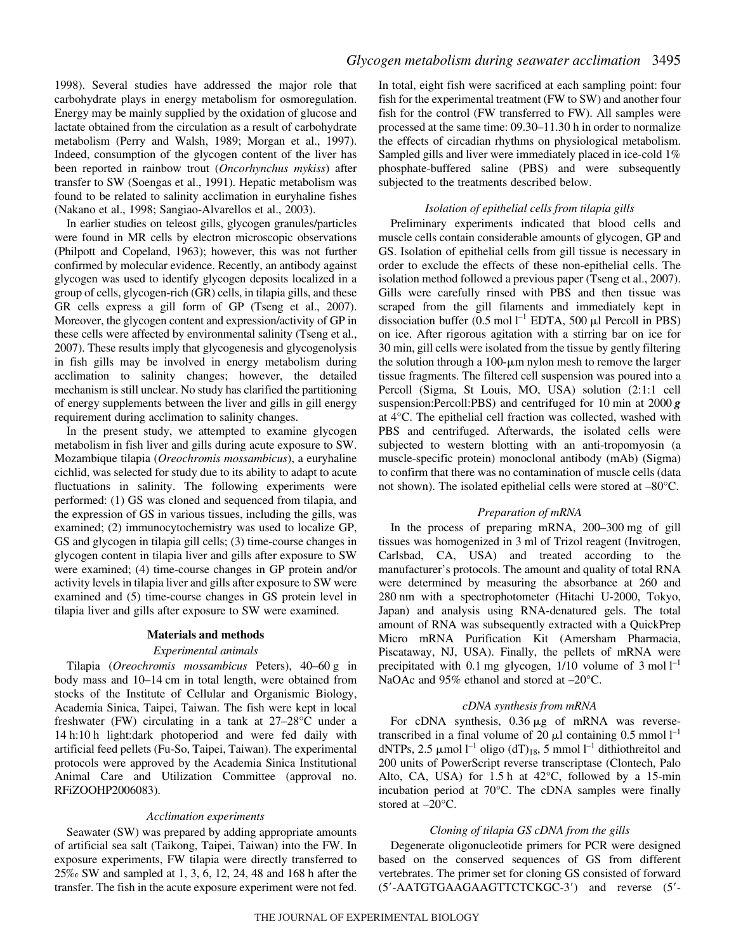1998). Several studies have addressed the major role that carbohydrate plays in energy metabolism for osmoregulation. Energy may be mainly supplied by the oxidation of glucose and lactate obtained from the circulation as a result of carbohydrate metabolism (Perry and Walsh, 1989; Morgan et al., 1997). Indeed, consumption of the glycogen content of the liver has been reported in rainbow trout (*Oncorhynchus mykiss*) after transfer to SW (Soengas et al., 1991). Hepatic metabolism was found to be related to salinity acclimation in euryhaline fishes (Nakano et al., 1998; Sangiao-Alvarellos et al., 2003).

In earlier studies on teleost gills, glycogen granules/particles were found in MR cells by electron microscopic observations (Philpott and Copeland, 1963); however, this was not further confirmed by molecular evidence. Recently, an antibody against glycogen was used to identify glycogen deposits localized in a group of cells, glycogen-rich (GR) cells, in tilapia gills, and these GR cells express a gill form of GP (Tseng et al., 2007). Moreover, the glycogen content and expression/activity of GP in these cells were affected by environmental salinity (Tseng et al., 2007). These results imply that glycogenesis and glycogenolysis in fish gills may be involved in energy metabolism during acclimation to salinity changes; however, the detailed mechanism is still unclear. No study has clarified the partitioning of energy supplements between the liver and gills in gill energy requirement during acclimation to salinity changes.

In the present study, we attempted to examine glycogen metabolism in fish liver and gills during acute exposure to SW. Mozambique tilapia (*Oreochromis mossambicus*), a euryhaline cichlid, was selected for study due to its ability to adapt to acute fluctuations in salinity. The following experiments were performed: (1) GS was cloned and sequenced from tilapia, and the expression of GS in various tissues, including the gills, was examined; (2) immunocytochemistry was used to localize GP, GS and glycogen in tilapia gill cells; (3) time-course changes in glycogen content in tilapia liver and gills after exposure to SW were examined; (4) time-course changes in GP protein and/or activity levels in tilapia liver and gills after exposure to SW were examined and (5) time-course changes in GS protein level in tilapia liver and gills after exposure to SW were examined.

#### **Materials and methods**

#### *Experimental animals*

Tilapia (*Oreochromis mossambicus* Peters), 40–60 g in body mass and 10-14 cm in total length, were obtained from stocks of the Institute of Cellular and Organismic Biology, Academia Sinica, Taipei, Taiwan. The fish were kept in local freshwater (FW) circulating in a tank at 27–28°C under a 14 h:10 h light:dark photoperiod and were fed daily with artificial feed pellets (Fu-So, Taipei, Taiwan). The experimental protocols were approved by the Academia Sinica Institutional Animal Care and Utilization Committee (approval no. RFiZOOHP2006083).

#### *Acclimation experiments*

Seawater (SW) was prepared by adding appropriate amounts of artificial sea salt (Taikong, Taipei, Taiwan) into the FW. In exposure experiments, FW tilapia were directly transferred to 25‰ SW and sampled at 1, 3, 6, 12, 24, 48 and 168 h after the transfer. The fish in the acute exposure experiment were not fed. In total, eight fish were sacrificed at each sampling point: four fish for the experimental treatment (FW to SW) and another four fish for the control (FW transferred to FW). All samples were processed at the same time: 09.30–11.30 h in order to normalize the effects of circadian rhythms on physiological metabolism. Sampled gills and liver were immediately placed in ice-cold 1% phosphate-buffered saline (PBS) and were subsequently subjected to the treatments described below.

## *Isolation of epithelial cells from tilapia gills*

Preliminary experiments indicated that blood cells and muscle cells contain considerable amounts of glycogen, GP and GS. Isolation of epithelial cells from gill tissue is necessary in order to exclude the effects of these non-epithelial cells. The isolation method followed a previous paper (Tseng et al., 2007). Gills were carefully rinsed with PBS and then tissue was scraped from the gill filaments and immediately kept in dissociation buffer  $(0.5 \text{ mol } l^{-1}$  EDTA, 500 µl Percoll in PBS) on ice. After rigorous agitation with a stirring bar on ice for 30 min, gill cells were isolated from the tissue by gently filtering the solution through a  $100$ - $\mu$ m nylon mesh to remove the larger tissue fragments. The filtered cell suspension was poured into a Percoll (Sigma, St Louis, MO, USA) solution (2:1:1 cell suspension:Percoll:PBS) and centrifuged for 10 min at 2000 **g** at 4°C. The epithelial cell fraction was collected, washed with PBS and centrifuged. Afterwards, the isolated cells were subjected to western blotting with an anti-tropomyosin (a muscle-specific protein) monoclonal antibody (mAb) (Sigma) to confirm that there was no contamination of muscle cells (data not shown). The isolated epithelial cells were stored at –80°C.

## *Preparation of mRNA*

In the process of preparing mRNA, 200-300 mg of gill tissues was homogenized in 3 ml of Trizol reagent (Invitrogen, Carlsbad, CA, USA) and treated according to the manufacturer's protocols. The amount and quality of total RNA were determined by measuring the absorbance at 260 and 280 nm with a spectrophotometer (Hitachi U-2000, Tokyo, Japan) and analysis using RNA-denatured gels. The total amount of RNA was subsequently extracted with a QuickPrep Micro mRNA Purification Kit (Amersham Pharmacia, Piscataway, NJ, USA). Finally, the pellets of mRNA were precipitated with 0.1 mg glycogen,  $1/10$  volume of 3 mol  $1^{-1}$ NaOAc and 95% ethanol and stored at  $-20^{\circ}$ C.

#### *cDNA synthesis from mRNA*

For cDNA synthesis,  $0.36 \mu g$  of mRNA was reversetranscribed in a final volume of 20  $\mu$ l containing 0.5 mmol  $l^{-1}$ dNTPs, 2.5  $\mu$ mol l<sup>-1</sup> oligo (dT)<sub>18</sub>, 5 mmol l<sup>-1</sup> dithiothreitol and 200 units of PowerScript reverse transcriptase (Clontech, Palo Alto, CA, USA) for  $1.5h$  at  $42^{\circ}$ C, followed by a 15-min incubation period at 70°C. The cDNA samples were finally stored at –20°C.

#### *Cloning of tilapia GS cDNA from the gills*

Degenerate oligonucleotide primers for PCR were designed based on the conserved sequences of GS from different vertebrates. The primer set for cloning GS consisted of forward (5-AATGTGAAGAAGTTCTCKGC-3) and reverse (5-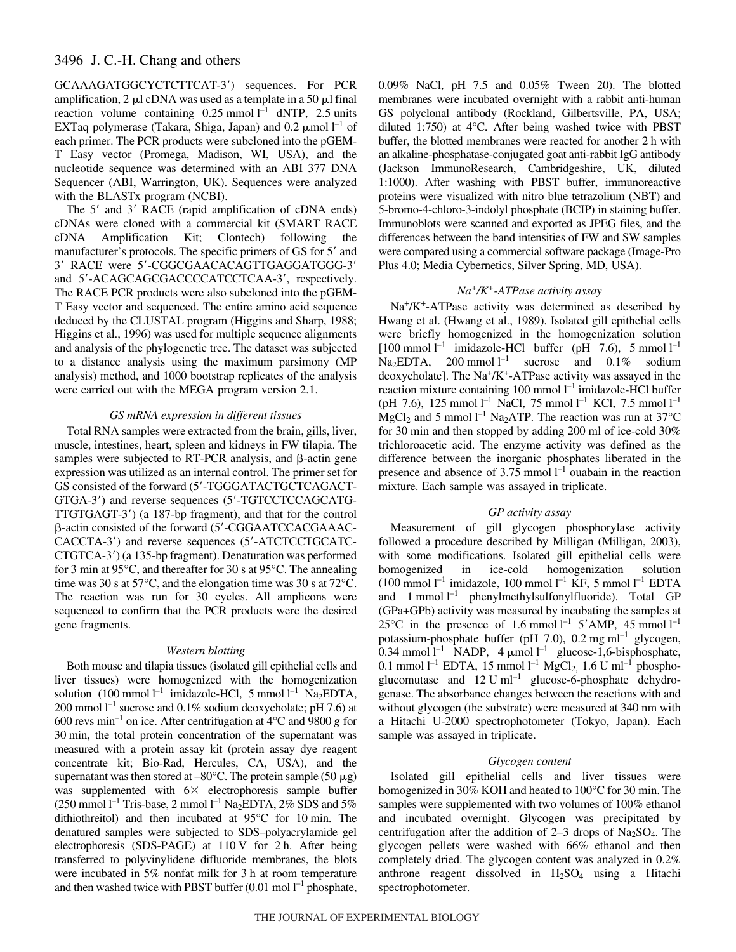## 3496 J. C.-H. Chang and others

GCAAAGATGGCYCTCTTCAT-3) sequences. For PCR amplification,  $2 \mu l$  cDNA was used as a template in a 50  $\mu$ l final reaction volume containing  $0.25$  mmol  $l^{-1}$  dNTP, 2.5 units EXTaq polymerase (Takara, Shiga, Japan) and  $0.2 \mu$ mol  $l^{-1}$  of each primer. The PCR products were subcloned into the pGEM-T Easy vector (Promega, Madison, WI, USA), and the nucleotide sequence was determined with an ABI 377 DNA Sequencer (ABI, Warrington, UK). Sequences were analyzed with the BLASTx program (NCBI).

The 5' and 3' RACE (rapid amplification of cDNA ends) cDNAs were cloned with a commercial kit (SMART RACE cDNA Amplification Kit; Clontech) following the manufacturer's protocols. The specific primers of GS for 5' and 3' RACE were 5'-CGGCGAACACAGTTGAGGATGGG-3' and 5'-ACAGCAGCGACCCCATCCTCAA-3', respectively. The RACE PCR products were also subcloned into the pGEM-T Easy vector and sequenced. The entire amino acid sequence deduced by the CLUSTAL program (Higgins and Sharp, 1988; Higgins et al., 1996) was used for multiple sequence alignments and analysis of the phylogenetic tree. The dataset was subjected to a distance analysis using the maximum parsimony (MP analysis) method, and 1000 bootstrap replicates of the analysis were carried out with the MEGA program version 2.1.

#### *GS mRNA expression in different tissues*

Total RNA samples were extracted from the brain, gills, liver, muscle, intestines, heart, spleen and kidneys in FW tilapia. The samples were subjected to RT-PCR analysis, and  $\beta$ -actin gene expression was utilized as an internal control. The primer set for GS consisted of the forward (5'-TGGGATACTGCTCAGACT-GTGA-3') and reverse sequences (5'-TGTCCTCCAGCATG-TTGTGAGT-3) (a 187-bp fragment), and that for the control -actin consisted of the forward (5-CGGAATCCACGAAAC - CACCTA-3') and reverse sequences (5'-ATCTCCTGCATC-CTGTCA-3') (a 135-bp fragment). Denaturation was performed for 3 min at  $95^{\circ}$ C, and thereafter for 30 s at  $95^{\circ}$ C. The annealing time was 30 s at  $57^{\circ}$ C, and the elongation time was 30 s at  $72^{\circ}$ C. The reaction was run for 30 cycles. All amplicons were sequenced to confirm that the PCR products were the desired gene fragments.

#### *Western blotting*

Both mouse and tilapia tissues (isolated gill epithelial cells and liver tissues) were homogenized with the homogenization solution  $(100 \text{ mmol } l^{-1} \text{ imidazole-HCl}, 5 \text{ mmol } l^{-1} \text{ Na}_2 \text{EDTA},$ 200 mmol  $l^{-1}$  sucrose and 0.1% sodium deoxycholate; pH 7.6) at 600 revs min<sup>-1</sup> on ice. After centrifugation at  $4^{\circ}$ C and 9800 *g* for 30 min, the total protein concentration of the supernatant was measured with a protein assay kit (protein assay dye reagent concentrate kit; Bio-Rad, Hercules, CA, USA), and the supernatant was then stored at  $-80^{\circ}$ C. The protein sample (50  $\mu$ g) was supplemented with  $6 \times$  electrophoresis sample buffer  $(250 \text{ mmol } l^{-1} \text{ Tris-base}, 2 \text{ mmol } l^{-1} \text{ Na}_2 \text{EDTA}, 2\% \text{ SDS} \text{ and } 5\%$ dithiothreitol) and then incubated at  $95^{\circ}$ C for 10 min. The denatured samples were subjected to SDS–polyacrylamide gel electrophoresis (SDS-PAGE) at 110 V for 2 h. After being transferred to polyvinylidene difluoride membranes, the blots were incubated in 5% nonfat milk for 3 h at room temperature and then washed twice with PBST buffer  $(0.01 \text{ mol } l^{-1}$  phosphate,

0.09% NaCl, pH 7.5 and 0.05% Tween 20). The blotted membranes were incubated overnight with a rabbit anti-human GS polyclonal antibody (Rockland, Gilbertsville, PA, USA; diluted 1:750) at 4°C. After being washed twice with PBST buffer, the blotted membranes were reacted for another 2 h with an alkaline-phosphatase-conjugated goat anti-rabbit IgG antibody (Jackson ImmunoResearch, Cambridgeshire, UK, diluted 1:1000). After washing with PBST buffer, immunoreactive proteins were visualized with nitro blue tetrazolium (NBT) and 5-bromo-4-chloro-3-indolyl phosphate (BCIP) in staining buffer. Immunoblots were scanned and exported as JPEG files, and the differences between the band intensities of FW and SW samples were compared using a commercial software package (Image-Pro Plus 4.0; Media Cybernetics, Silver Spring, MD, USA).

#### *Na+/K+-ATPase activity assay*

 $Na<sup>+</sup>/K<sup>+</sup>-ATPase$  activity was determined as described by Hwang et al. (Hwang et al., 1989). Isolated gill epithelial cells were briefly homogenized in the homogenization solution  $[100 \text{ mmol } l^{-1}$  imidazole-HCl buffer (pH 7.6), 5 mmol  $l^{-1}$  $Na<sub>2</sub>EDTA$ , 200 mmol  $l<sup>-1</sup>$ sucrose and  $0.1\%$  sodium deoxycholate]. The Na+/K+-ATPase activity was assayed in the reaction mixture containing 100 mmol  $l^{-1}$  imidazole-HCl buffer (pH 7.6), 125 mmol<sup>-1</sup> NaCl, 75 mmol<sup>-1</sup> KCl, 7.5 mmol<sup>-1</sup>  $MgCl<sub>2</sub>$  and 5 mmol  $l<sup>-1</sup> Na<sub>2</sub>ATP$ . The reaction was run at 37°C for 30 min and then stopped by adding 200 ml of ice-cold  $30\%$ trichloroacetic acid. The enzyme activity was defined as the difference between the inorganic phosphates liberated in the presence and absence of 3.75 mmol  $l^{-1}$  ouabain in the reaction mixture. Each sample was assayed in triplicate.

#### *GP activity assay*

Measurement of gill glycogen phosphorylase activity followed a procedure described by Milligan (Milligan, 2003), with some modifications. Isolated gill epithelial cells were homogenized in ice-cold homogenization solution  $(100 \text{ mmol } l^{-1} \text{ imidazole}, 100 \text{ mmol } l^{-1} \text{ KF}, 5 \text{ mmol } l^{-1} \text{ EDTA}$ and  $1$  mmol  $l^{-1}$  phenylmethylsulfonylfluoride). Total GP (GPa+GPb) activity was measured by incubating the samples at 25<sup>o</sup>C in the presence of 1.6 mmol  $l^{-1}$  5'AMP, 45 mmol  $l^{-1}$ potassium-phosphate buffer (pH 7.0), 0.2 mg ml<sup>-1</sup> glycogen, 0.34 mmol  $l^{-1}$  NADP, 4  $\mu$ mol  $l^{-1}$  glucose-1,6-bisphosphate, 0.1 mmol  $l^{-1}$  EDTA, 15 mmol  $l^{-1}$  MgCl<sub>2,</sub> 1.6 U ml<sup>-1</sup> phosphoglucomutase and  $12$  U ml<sup>-1</sup> glucose-6-phosphate dehydrogenase. The absorbance changes between the reactions with and without glycogen (the substrate) were measured at 340 nm with a Hitachi U-2000 spectrophotometer (Tokyo, Japan). Each sample was assayed in triplicate.

#### *Glycogen content*

Isolated gill epithelial cells and liver tissues were homogenized in 30% KOH and heated to 100°C for 30 min. The samples were supplemented with two volumes of 100% ethanol and incubated overnight. Glycogen was precipitated by centrifugation after the addition of  $2-3$  drops of Na<sub>2</sub>SO<sub>4</sub>. The glycogen pellets were washed with 66% ethanol and then completely dried. The glycogen content was analyzed in 0.2% anthrone reagent dissolved in  $H_2SO_4$  using a Hitachi spectrophotometer.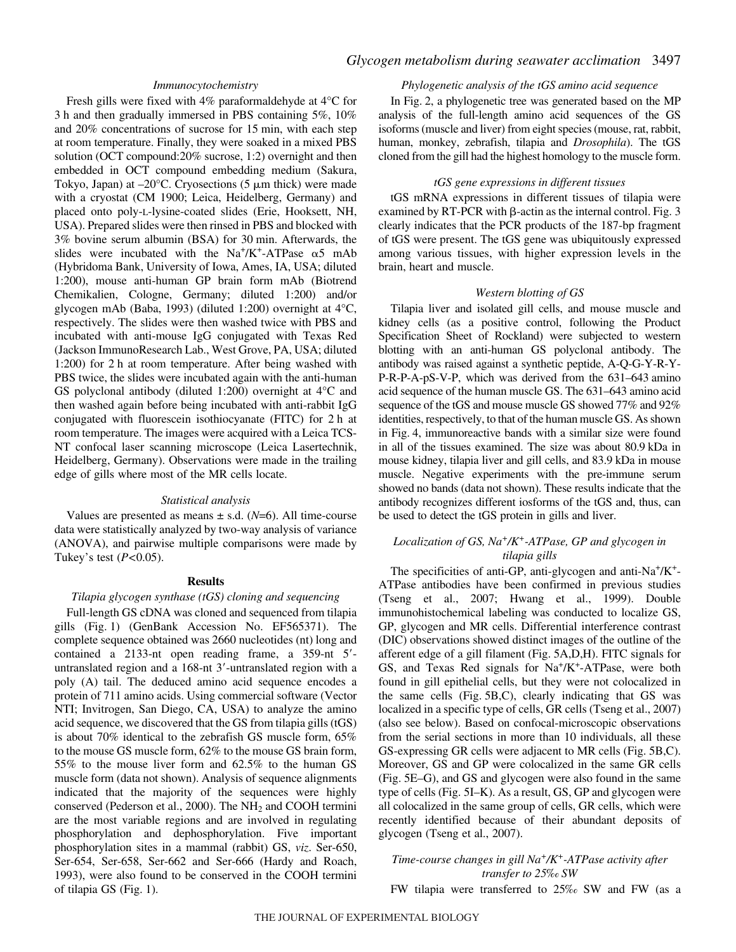### *Immunocytochemistry*

Fresh gills were fixed with 4% paraformaldehyde at 4°C for 3 h and then gradually immersed in PBS containing 5%, 10% and  $20\%$  concentrations of sucrose for 15 min, with each step at room temperature. Finally, they were soaked in a mixed PBS solution (OCT compound:20% sucrose, 1:2) overnight and then embedded in OCT compound embedding medium (Sakura, Tokyo, Japan) at  $-20^{\circ}$ C. Cryosections (5  $\mu$ m thick) were made with a cryostat (CM 1900; Leica, Heidelberg, Germany) and placed onto poly-L-lysine-coated slides (Erie, Hooksett, NH, USA). Prepared slides were then rinsed in PBS and blocked with 3% bovine serum albumin (BSA) for 30 min. Afterwards, the slides were incubated with the  $Na^+/K^+$ -ATPase  $\alpha$ 5 mAb (Hybridoma Bank, University of Iowa, Ames, IA, USA; diluted 1:200), mouse anti-human GP brain form mAb (Biotrend Chemikalien, Cologne, Germany; diluted 1:200) and/or glycogen mAb (Baba, 1993) (diluted 1:200) overnight at 4°C, respectively. The slides were then washed twice with PBS and incubated with anti-mouse IgG conjugated with Texas Red (Jackson ImmunoResearch Lab., West Grove, PA, USA; diluted 1:200) for 2 h at room temperature. After being washed with PBS twice, the slides were incubated again with the anti-human GS polyclonal antibody (diluted 1:200) overnight at 4°C and then washed again before being incubated with anti-rabbit IgG conjugated with fluorescein isothiocyanate (FITC) for 2 h at room temperature. The images were acquired with a Leica TCS-NT confocal laser scanning microscope (Leica Lasertechnik, Heidelberg, Germany). Observations were made in the trailing edge of gills where most of the MR cells locate.

#### *Statistical analysis*

Values are presented as means  $\pm$  s.d. ( $N=6$ ). All time-course data were statistically analyzed by two-way analysis of variance (ANOVA), and pairwise multiple comparisons were made by Tukey's test (*P<*0.05).

### **Results**

#### *Tilapia glycogen synthase (tGS) cloning and sequencing*

Full-length GS cDNA was cloned and sequenced from tilapia gills (Fig. 1) (GenBank Accession No. EF565371). The complete sequence obtained was 2660 nucleotides (nt) long and contained a 2133-nt open reading frame, a 359-nt 5 untranslated region and a 168-nt 3'-untranslated region with a poly (A) tail. The deduced amino acid sequence encodes a protein of 711 amino acids. Using commercial software (Vector NTI; Invitrogen, San Diego, CA, USA) to analyze the amino acid sequence, we discovered that the GS from tilapia gills (tGS) is about 70% identical to the zebrafish GS muscle form, 65% to the mouse GS muscle form, 62% to the mouse GS brain form, 55% to the mouse liver form and 62.5% to the human GS muscle form (data not shown). Analysis of sequence alignments indicated that the majority of the sequences were highly conserved (Pederson et al., 2000). The NH<sub>2</sub> and COOH termini are the most variable regions and are involved in regulating phosphorylation and dephosphorylation. Five important phosphorylation sites in a mammal (rabbit) GS, *viz*. Ser-650, Ser-654, Ser-658, Ser-662 and Ser-666 (Hardy and Roach, 1993), were also found to be conserved in the COOH termini of tilapia GS (Fig. 1).

## *Phylogenetic analysis of the tGS amino acid sequence*

In Fig. 2, a phylogenetic tree was generated based on the MP analysis of the full-length amino acid sequences of the GS isoforms (muscle and liver) from eight species (mouse, rat, rabbit, human, monkey, zebrafish, tilapia and *Drosophila*). The tGS cloned from the gill had the highest homology to the muscle form.

#### *tGS gene expressions in different tissues*

tGS mRNA expressions in different tissues of tilapia were examined by RT-PCR with  $\beta$ -actin as the internal control. Fig. 3 clearly indicates that the PCR products of the 187-bp fragment of tGS were present. The tGS gene was ubiquitously expressed among various tissues, with higher expression levels in the brain, heart and muscle.

#### *Western blotting of GS*

Tilapia liver and isolated gill cells, and mouse muscle and kidney cells (as a positive control, following the Product Specification Sheet of Rockland) were subjected to western blotting with an anti-human GS polyclonal antibody. The antibody was raised against a synthetic peptide, A-Q-G-Y-R-Y-P-R-P-A-pS-V-P, which was derived from the 631–643 amino acid sequence of the human muscle GS. The 631–643 amino acid sequence of the tGS and mouse muscle GS showed 77% and 92% identities, respectively, to that of the human muscle GS. As shown in Fig. 4, immunoreactive bands with a similar size were found in all of the tissues examined. The size was about 80.9 kDa in mouse kidney, tilapia liver and gill cells, and 83.9 kDa in mouse muscle. Negative experiments with the pre-immune serum showed no bands (data not shown). These results indicate that the antibody recognizes different iosforms of the tGS and, thus, can be used to detect the tGS protein in gills and liver.

## *Localization of GS, Na+/K+-ATPase, GP and glycogen in tilapia gills*

The specificities of anti-GP, anti-glycogen and anti- $Na^+/K^+$ -ATPase antibodies have been confirmed in previous studies (Tseng et al., 2007; Hwang et al., 1999). Double immunohistochemical labeling was conducted to localize GS, GP, glycogen and MR cells. Differential interference contrast (DIC) observations showed distinct images of the outline of the afferent edge of a gill filament (Fig. 5A,D,H). FITC signals for GS, and Texas Red signals for Na+/K+-ATPase, were both found in gill epithelial cells, but they were not colocalized in the same cells  $(Fig. 5B,C)$ , clearly indicating that GS was localized in a specific type of cells, GR cells (Tseng et al., 2007) (also see below). Based on confocal-microscopic observations from the serial sections in more than 10 individuals, all these GS-expressing GR cells were adjacent to MR cells (Fig. 5B,C). Moreover, GS and GP were colocalized in the same GR cells (Fig. 5E–G), and GS and glycogen were also found in the same type of cells (Fig. 5I–K). As a result, GS, GP and glycogen were all colocalized in the same group of cells, GR cells, which were recently identified because of their abundant deposits of glycogen (Tseng et al., 2007).

## *Time-course changes in gill Na+/K+-ATPase activity after transfer to 25‰ SW*

FW tilapia were transferred to 25‰ SW and FW (as a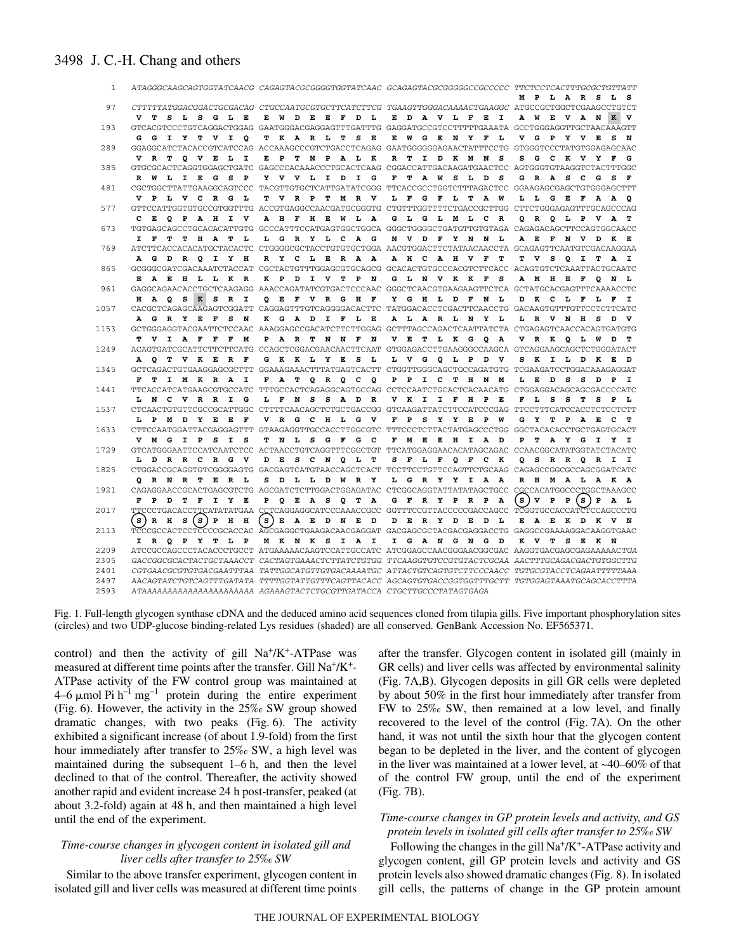## 3498 J. C.-H. Chang and others

| 1    |                                                                                                     |  |             |       |          |  |                  |              |       |              |                    |  |        |              |   |   |               | ATAGGGCAAGCAGTGGTATCAACG CAGAGTACGCGGGGTGGTATCAAC GCAGAGTACGCGGGGCCCCCCCC TTCTCCTCACTTTGCGCTGTTATT              |
|------|-----------------------------------------------------------------------------------------------------|--|-------------|-------|----------|--|------------------|--------------|-------|--------------|--------------------|--|--------|--------------|---|---|---------------|-----------------------------------------------------------------------------------------------------------------|
| 97   |                                                                                                     |  |             |       |          |  |                  |              |       |              |                    |  |        |              |   |   |               | MPLARSLS<br>CTTTTTATGGACGGACTGCGACAG CTGCCAATGCGTGCTTCATCTTCG TGAAGTTGGGACAAAACTGAAGGC ATGCCGCTGGCTCGAAGCCTGTCT |
|      | V T S L S G L E                                                                                     |  |             |       |          |  | E W D E E F D L  |              |       |              | E D A V L F E I    |  |        |              |   |   |               | A W E V A N K V                                                                                                 |
| 193  | GTCACGTCCCTGTCAGGACTGGAG GAATGGGACGAGGAGTTTGATTTG GAGGATGCCGTCCTTTTTGAAATA GCCTGGGAGGTTGCTAACAAAGTT |  |             |       |          |  |                  |              |       |              |                    |  |        |              |   |   |               |                                                                                                                 |
|      | G G I Y T V I O                                                                                     |  |             |       |          |  | T K A R L T      | - S<br>. в   | Е     |              | W G E N Y F        |  | L      |              |   |   | V G P Y V E S | N                                                                                                               |
| 289  | GGAGGCATCTACACCGTCATCCAG ACCAAAGCCCGTCTGACCTCAGAG GAATGGGGGGAAACTATTTCCTG GTGGGTCCCTATGTGGAGAGCAAC  |  |             |       |          |  |                  |              |       |              |                    |  |        |              |   |   |               |                                                                                                                 |
|      | V R T O V E L                                                                                       |  |             |       | <b>I</b> |  | E P T N P A L K  |              | R     | т            | I D K M N          |  | - s    | s            |   |   | G C K V Y F   | G                                                                                                               |
| 385  | GTGCGCACTCAGGTGGAGCTGATC GAGCCCACAAACCCTGCACTCAAG CGGACCATTGACAAGATGAACTCC AGTGGGTGTAAGGTCTACTTTGGC |  |             |       |          |  |                  |              |       |              |                    |  |        |              |   |   |               |                                                                                                                 |
|      | R W L I E G                                                                                         |  |             |       | S P      |  | Y V V L I D I    | G            | F     |              | TAWSL <sup>T</sup> |  | s<br>D |              |   |   |               | GRASCGSF                                                                                                        |
| 481  | CGCTGGCTTATTGAAGGCAGTCCC TACGTTGTGCTCATTGATATCGGG TTCACCGCCTGGTCTTTAGACTCC GGAAGAGCGAGCTGTGGGAGCTTT |  |             |       |          |  |                  |              |       |              |                    |  |        |              |   |   |               |                                                                                                                 |
|      | V P L V C R G L                                                                                     |  |             |       |          |  | T V R P T M R V  |              | L.    |              | F G F L T A W      |  |        |              |   |   |               | L L G E F A A O                                                                                                 |
| 577  | GTTCCATTGGTGTGCCGTGGTTTG ACCGTGAGGCCAACGATGCGGGTG CTGTTTGGTTTTCTGACCGCTTGG CTTCTGGGAGAGTTTGCAGCCCAG |  |             |       |          |  |                  |              |       |              |                    |  |        |              |   |   |               |                                                                                                                 |
|      | C E O P A H I V                                                                                     |  |             |       |          |  | A H F H E W L A  |              |       |              | G L G L M L C R    |  |        |              |   |   |               | Q R Q L P V A T                                                                                                 |
| 673  |                                                                                                     |  |             |       |          |  |                  |              |       |              |                    |  |        |              |   |   |               |                                                                                                                 |
|      | I F                                                                                                 |  | T T H A     |       | T L      |  | L G R Y L C A G  |              |       |              | N V D F Y N N L    |  |        |              |   |   |               | A E F N V D K E                                                                                                 |
| 769  | ATCTTCACCACACATGCTACACTC CTGGGGCGCTACCTGTGTGCTGGA AACGTGGACTTCTATAACAACCTA GCAGAGTTCAATGTCGACAAGGAA |  |             |       |          |  |                  |              |       |              |                    |  |        |              |   |   |               |                                                                                                                 |
|      | A G D R Q I Y H                                                                                     |  |             |       |          |  | RY CLERAA        |              |       |              | A H C A H V F      |  | т      |              |   |   |               | TVSQITAI                                                                                                        |
| 865  | GCGGGCGATCGACAAATCTACCAT CGCTACTGTTTGGAGCGTGCAGCG GCACACTGTGCCCACGTCTTCACC ACAGTGTCTCAAATTACTGCAATC |  |             |       |          |  |                  |              |       |              |                    |  |        |              |   |   |               |                                                                                                                 |
|      | E A E H L L K R                                                                                     |  |             |       |          |  | K P D I V T P N  |              |       |              | G L N V K K F      |  | s      |              |   |   |               | A M H E F Q N L                                                                                                 |
| 961  | GAGGCAGAACACCTGCTCAAGAGG AAACCAGATATCGTGACTCCCAAC GGGCTCAACGTGAAGAAGTTCTCA GCTATGCACGAGTTTCAAAACCTC |  |             |       |          |  |                  |              |       |              |                    |  |        |              |   |   |               |                                                                                                                 |
|      | H A O S K S R I                                                                                     |  |             |       |          |  | O E F V R G H F  |              |       |              | Y G H L D F N L    |  |        |              |   |   |               | D K C L F L F I                                                                                                 |
| 1057 | CACGCTCAGAGCAAGAGTCGGATT CAGGAGTTTGTCAGGGGACACTTC TATGGACACCTCGACTTCAACCTG GACAAGTGTTTGTTCCTCTTCATC |  |             |       |          |  |                  |              |       |              |                    |  |        |              |   |   |               |                                                                                                                 |
|      | A G R Y E F S                                                                                       |  |             |       | N        |  | K G A D I F L E  |              |       |              | ALARL NY L         |  |        |              |   |   |               | L R V N H S D V                                                                                                 |
| 1153 | GCTGGGAGGTACGAATTCTCCAAC AAAGGAGCCGACATCTTCTTGGAG GCTTTAGCCAGACTCAATTATCTA CTGAGAGTCAACCACAGTGATGTG |  |             |       |          |  |                  |              |       |              |                    |  |        |              |   |   |               |                                                                                                                 |
|      | T V I A F F F                                                                                       |  |             |       | м        |  | PARTNNF          | N            | $V$ E |              | TLKGQA             |  |        |              |   |   |               | VRK QLWD T                                                                                                      |
| 1249 | ACAGTGATCGCATTCTTCTTCATG CCAGCTCGGACGAACAACTTCAAT GTGGAGACCTTGAAGGGCCAAGCA GTCAGGAAGCAGCTCTGGGATACT |  |             |       |          |  |                  |              |       |              |                    |  |        |              |   |   |               |                                                                                                                 |
|      | A Q T V K E R F                                                                                     |  |             |       |          |  | G K K L Y E S    | . т.         |       |              | L V G Q L P D V    |  |        |              |   |   | S K I L D K E | ם                                                                                                               |
| 1345 | GCTCAGACTGTGAAGGAGCGCTTT GGAAAGAAACTTTATGAGTCACTT CTGGTTGGGCAGCTGCCAGATGTG TCGAAGATCCTGGACAAAGAGGAT |  |             |       |          |  |                  |              |       |              |                    |  |        |              |   |   |               |                                                                                                                 |
|      | F T I M K R A                                                                                       |  |             |       | I        |  | F A T Q R Q C    | $^{\circ}$   |       |              | P P I C T H N M    |  |        |              |   |   | L E D S S D P | $\mathbf{I}$                                                                                                    |
| 1441 | TTCACCATCATGAAGCGTGCCATC TTTGCCACTCAGAGGCAGTGCCAG CCTCCAATCTGCACTCACAACATG CTGGAGGACAGCAGCGACCCCATC |  |             |       |          |  |                  |              |       |              |                    |  |        |              |   |   |               |                                                                                                                 |
|      | L N C V R R I G                                                                                     |  |             |       |          |  | L F N S S A D R  |              |       |              | V K I I F H P E    |  |        |              |   |   |               | F L S S T S P L                                                                                                 |
| 1537 | CTCAACTGTGTTCGCCGCATTGGC CTTTTCAACAGCTCTGCTGACCGG GTCAAGATTATCTTCCATCCCGAG TTCCTTTCATCCACCTCTCCTTT  |  |             |       |          |  |                  |              |       |              |                    |  |        |              |   |   |               |                                                                                                                 |
|      | L P M D Y E E F                                                                                     |  |             |       |          |  | VRGCHLGV         |              | F     |              | PSYYEP W           |  |        |              |   |   | G Y T P A E C | - 77                                                                                                            |
| 1633 | CTTCCAATGGATTACGAGGAGTTT GTAAGAGGTTGCCACCTTGGCGTC TTTCCCTCTTACTATGAGCCCTGG GGCTACACACCTGCTGAGTGCACT |  |             |       |          |  |                  |              |       |              |                    |  |        |              |   |   |               |                                                                                                                 |
|      | V M G I P S                                                                                         |  |             |       | I S      |  | T N L S G F G C  |              |       |              | F M E E H I A D    |  |        | $\mathbf{P}$ |   |   |               | TAYGIYI                                                                                                         |
| 1729 | GTCATGGGAATTCCATCAATCTCC ACTAACCTGTCAGGTTTCGGCTGT TTCATGGAGGAACACATAGCAGAC CCAACGGCATATGGTATCTACATC |  |             |       |          |  |                  |              |       |              |                    |  |        |              |   |   |               |                                                                                                                 |
|      | L D                                                                                                 |  | R R C R G V |       |          |  | D E S C N Q L    | $\mathbf{T}$ | s     | $\mathbf{F}$ | L F Q F C K        |  |        |              |   |   |               | Q S R R Q R I I                                                                                                 |
| 1825 | CTGGACCGCAGGTGTCGGGGAGTG GACGAGTCATGTAACCAGCTCACT TCCTTCCTGTTCCAGTTCTGCAAG CAGAGCCGGCGCCAGCGGATCATC |  |             |       |          |  |                  |              |       |              |                    |  |        |              |   |   |               |                                                                                                                 |
|      | Q R N R T E R L                                                                                     |  |             |       |          |  | S D L L D W R Y  |              |       |              | LGRYYIAA           |  |        |              |   |   |               | RH MALAKA                                                                                                       |
| 1921 | CAGAGGAACCGCACTGAGCGTCTG AGCGATCTCTTGGACTGGAGATAC CTCGGCAGGTATTATATAGCTGCC CGCCACATGGCCCTGGCTAAAGCC |  |             |       |          |  |                  |              |       |              |                    |  |        |              |   |   |               |                                                                                                                 |
|      | F P D                                                                                               |  | T F         | I Y E |          |  | P Q E A S Q T A  |              |       |              | G F R Y P R P A    |  |        | s l          | v | P | P(S) P A      | - L                                                                                                             |
| 2017 | TTCCCTGACACCTTCATATATGAA CCTCAGGAGGCATCCCAAACCGCC GGTTTCCGTTACCCCCGACCAGCC TCGGTGCCACCATCTCCAGCCCTG |  |             |       |          |  |                  |              |       |              |                    |  |        |              |   |   |               |                                                                                                                 |
|      | S) RH                                                                                               |  | S (S ) PHH  |       |          |  | S) E A E D N E D |              |       |              | D E R Y D E D L    |  |        |              |   |   |               | E A E K D K V N                                                                                                 |
| 2113 | TCCCGCCACTCCCCCGCACCAC AGCGAGGCTGAAGACAACGAGGAT GACGAGCGCTACGACGAGGACCTG GAGGCCGAAAAGGACAAGGTGAAC   |  |             |       |          |  |                  |              |       |              |                    |  |        |              |   |   |               |                                                                                                                 |
|      | I R Q P Y T L P                                                                                     |  |             |       |          |  | MKNKSIAI         |              |       |              | I GANGNG D         |  |        |              |   |   | K V T S E K N |                                                                                                                 |
| 2209 |                                                                                                     |  |             |       |          |  |                  |              |       |              |                    |  |        |              |   |   |               | ATCCGCCAGCCCTACACCCTGCCT ATGAAAAACAGTCCATTGCCATC ATCGGAGCCAACGGGAACGGCGAC AAGGTGACGAGCGAGAAAAACTGA              |
| 2305 |                                                                                                     |  |             |       |          |  |                  |              |       |              |                    |  |        |              |   |   |               | GACCGGCGCACTACTGCTAAACCT CACTAGTGAAACTCTTATCTGTGG TTCAAGGTGTCCGTGTACTCGCAA AACTTTGCAGACGACTGTGGCTTG             |
| 2401 |                                                                                                     |  |             |       |          |  |                  |              |       |              |                    |  |        |              |   |   |               | CGTGAACGCGTGTGACGAATTTAA TATTGGCATGTTGTGACAAAATGC ATTACTGTCAGTGTCTTCCCAACC TGTGCGTACCTCAGAATTTTTAAA             |
| 2497 |                                                                                                     |  |             |       |          |  |                  |              |       |              |                    |  |        |              |   |   |               | AACAGTATCTGTCAGTTTGATATA TTTTGGTATTGTTTCAGTTACACC AGCAGTGTGACCGGTGGTTTGCTT TGTGGAGTAAATGCAGCACCTTTA             |
| 2593 | ATAAAAAAAAAAAAAAAAAAAAAA AGAAAGTACTCTGCGTTGATACCA CTGCTTGCCCTATAGTGAGA                              |  |             |       |          |  |                  |              |       |              |                    |  |        |              |   |   |               |                                                                                                                 |

Fig. 1. Full-length glycogen synthase cDNA and the deduced amino acid sequences cloned from tilapia gills. Five important phosphorylation sites (circles) and two UDP-glucose binding-related Lys residues (shaded) are all conserved. GenBank Accession No. EF565371.

control) and then the activity of gill  $Na^+/K^+$ -ATPase was measured at different time points after the transfer. Gill Na+/K+- ATPase activity of the FW control group was maintained at  $4-6 \mu$ mol Pi h<sup>-1</sup> mg<sup>-1</sup> protein during the entire experiment (Fig. 6). However, the activity in the  $25\%$  SW group showed dramatic changes, with two peaks  $(Fig. 6)$ . The activity exhibited a significant increase (of about 1.9-fold) from the first hour immediately after transfer to 25‰ SW, a high level was maintained during the subsequent  $1-6$  h, and then the level declined to that of the control. Thereafter, the activity showed another rapid and evident increase 24 h post-transfer, peaked (at about 3.2-fold) again at 48 h, and then maintained a high level until the end of the experiment.

## *Time-course changes in glycogen content in isolated gill and liver cells after transfer to 25‰ SW*

Similar to the above transfer experiment, glycogen content in isolated gill and liver cells was measured at different time points after the transfer. Glycogen content in isolated gill (mainly in GR cells) and liver cells was affected by environmental salinity (Fig. 7A,B). Glycogen deposits in gill GR cells were depleted by about 50% in the first hour immediately after transfer from FW to 25‰ SW, then remained at a low level, and finally recovered to the level of the control (Fig. 7A). On the other hand, it was not until the sixth hour that the glycogen content began to be depleted in the liver, and the content of glycogen in the liver was maintained at a lower level, at ~40–60% of that of the control FW group, until the end of the experiment  $(Fig. 7B)$ .

## *Time-course changes in GP protein levels and activity, and GS protein levels in isolated gill cells after transfer to 25‰ SW*

Following the changes in the gill  $Na^+/K^+$ -ATPase activity and glycogen content, gill GP protein levels and activity and GS protein levels also showed dramatic changes (Fig. 8). In isolated gill cells, the patterns of change in the GP protein amount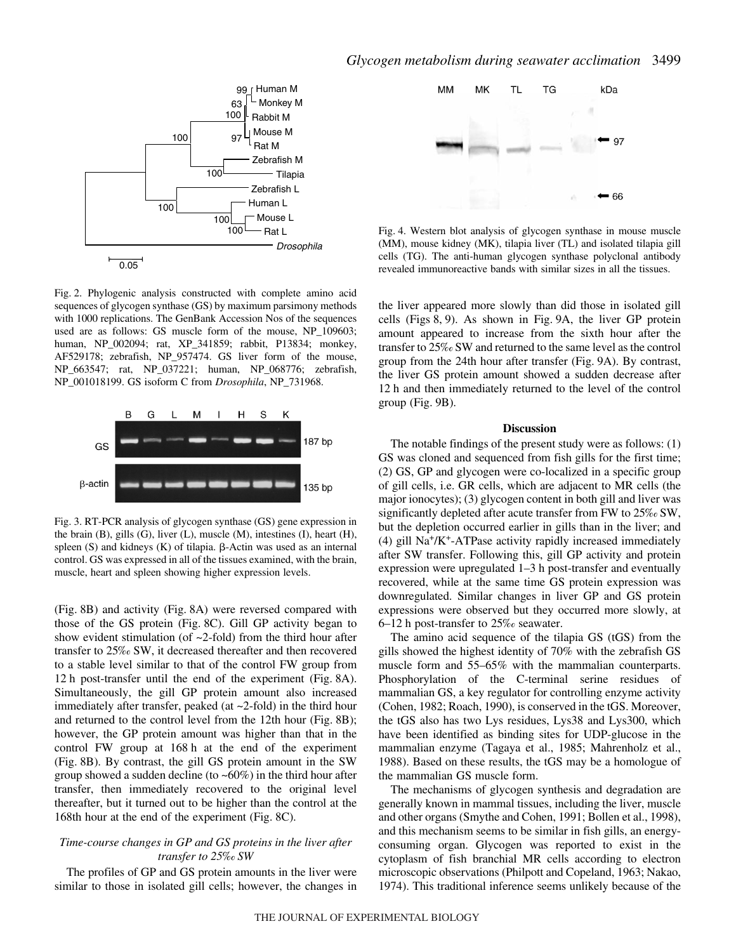

Fig. 2. Phylogenic analysis constructed with complete amino acid sequences of glycogen synthase (GS) by maximum parsimony methods with 1000 replications. The GenBank Accession Nos of the sequences used are as follows: GS muscle form of the mouse, NP\_109603; human, NP\_002094; rat, XP\_341859; rabbit, P13834; monkey, AF529178; zebrafish, NP\_957474. GS liver form of the mouse, NP\_663547; rat, NP\_037221; human, NP\_068776; zebrafish, NP\_001018199. GS isoform C from *Drosophila*, NP\_731968.



Fig. 3. RT-PCR analysis of glycogen synthase (GS) gene expression in the brain (B), gills (G), liver (L), muscle (M), intestines (I), heart (H), spleen  $(S)$  and kidneys  $(K)$  of tilapia.  $\beta$ -Actin was used as an internal control. GS was expressed in all of the tissues examined, with the brain, muscle, heart and spleen showing higher expression levels.

(Fig. 8B) and activity (Fig. 8A) were reversed compared with those of the GS protein (Fig. 8C). Gill GP activity began to show evident stimulation (of  $\sim$ 2-fold) from the third hour after transfer to 25‰ SW, it decreased thereafter and then recovered to a stable level similar to that of the control FW group from 12 h post-transfer until the end of the experiment (Fig. 8A). Simultaneously, the gill GP protein amount also increased immediately after transfer, peaked (at ~2-fold) in the third hour and returned to the control level from the 12th hour (Fig. 8B); however, the GP protein amount was higher than that in the control FW group at 168 h at the end of the experiment (Fig. 8B). By contrast, the gill GS protein amount in the SW group showed a sudden decline (to  $~60\%$ ) in the third hour after transfer, then immediately recovered to the original level thereafter, but it turned out to be higher than the control at the 168th hour at the end of the experiment (Fig. 8C).

### *Time-course changes in GP and GS proteins in the liver after transfer to 25‰ SW*

The profiles of GP and GS protein amounts in the liver were similar to those in isolated gill cells; however, the changes in



Fig. 4. Western blot analysis of glycogen synthase in mouse muscle (MM), mouse kidney (MK), tilapia liver (TL) and isolated tilapia gill cells (TG). The anti-human glycogen synthase polyclonal antibody revealed immunoreactive bands with similar sizes in all the tissues.

the liver appeared more slowly than did those in isolated gill cells (Figs  $8, 9$ ). As shown in Fig. 9A, the liver GP protein amount appeared to increase from the sixth hour after the transfer to 25‰ SW and returned to the same level as the control group from the 24th hour after transfer (Fig. 9A). By contrast, the liver GS protein amount showed a sudden decrease after 12 h and then immediately returned to the level of the control group (Fig. 9B).

#### **Discussion**

The notable findings of the present study were as follows: (1) GS was cloned and sequenced from fish gills for the first time; (2) GS, GP and glycogen were co-localized in a specific group of gill cells, i.e. GR cells, which are adjacent to MR cells (the major ionocytes); (3) glycogen content in both gill and liver was significantly depleted after acute transfer from FW to 25‰ SW, but the depletion occurred earlier in gills than in the liver; and (4) gill  $Na^+/K^+$ -ATPase activity rapidly increased immediately after SW transfer. Following this, gill GP activity and protein expression were upregulated  $1-3$  h post-transfer and eventually recovered, while at the same time GS protein expression was downregulated. Similar changes in liver GP and GS protein expressions were observed but they occurred more slowly, at  $6-12$  h post-transfer to  $25\%$  seawater.

The amino acid sequence of the tilapia GS (tGS) from the gills showed the highest identity of 70% with the zebrafish GS muscle form and 55–65% with the mammalian counterparts. Phosphorylation of the C-terminal serine residues of mammalian GS, a key regulator for controlling enzyme activity (Cohen, 1982; Roach, 1990), is conserved in the tGS. Moreover, the tGS also has two Lys residues, Lys38 and Lys300, which have been identified as binding sites for UDP-glucose in the mammalian enzyme (Tagaya et al., 1985; Mahrenholz et al., 1988). Based on these results, the tGS may be a homologue of the mammalian GS muscle form.

The mechanisms of glycogen synthesis and degradation are generally known in mammal tissues, including the liver, muscle and other organs (Smythe and Cohen, 1991; Bollen et al., 1998), and this mechanism seems to be similar in fish gills, an energyconsuming organ. Glycogen was reported to exist in the cytoplasm of fish branchial MR cells according to electron microscopic observations (Philpott and Copeland, 1963; Nakao, 1974). This traditional inference seems unlikely because of the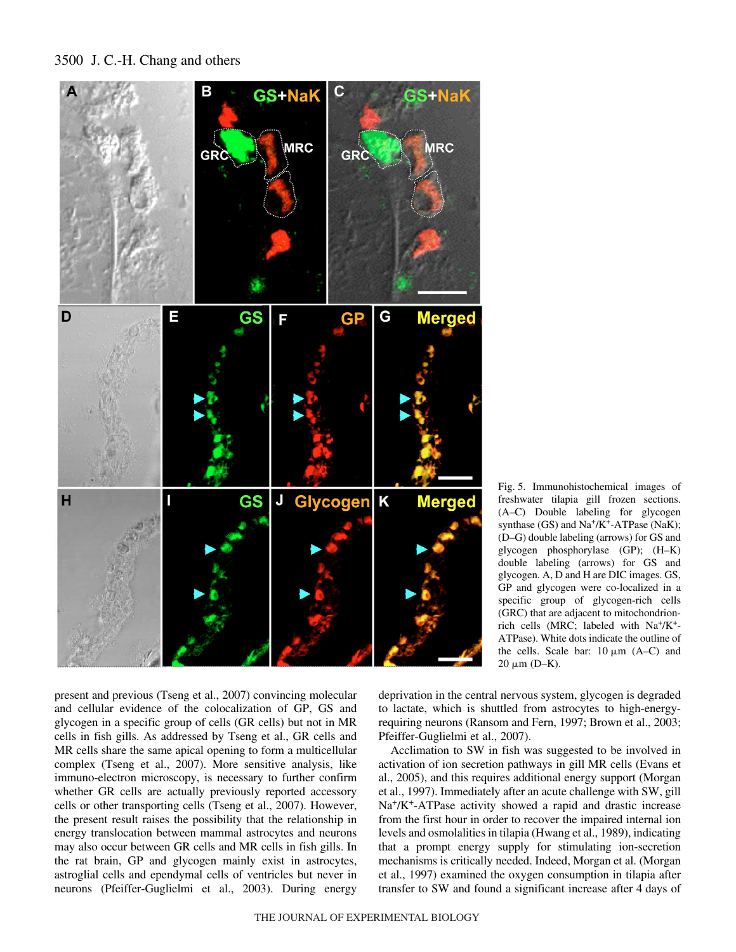



Fig. 5. Immunohistochemical images of freshwater tilapia gill frozen sections. (A–C) Double labeling for glycogen synthase (GS) and Na<sup>+</sup>/K<sup>+</sup>-ATPase (NaK); (D–G) double labeling (arrows) for GS and glycogen phosphorylase (GP); (H–K) double labeling (arrows) for GS and glycogen. A, D and H are DIC images. GS, GP and glycogen were co-localized in a specific group of glycogen-rich cells (GRC) that are adjacent to mitochondrionrich cells (MRC; labeled with Na+/K+- ATPase). White dots indicate the outline of the cells. Scale bar:  $10 \mu m$  (A–C) and 20  $\mu$ m (D–K).

present and previous (Tseng et al., 2007) convincing molecular and cellular evidence of the colocalization of GP, GS and glycogen in a specific group of cells (GR cells) but not in MR cells in fish gills. As addressed by Tseng et al., GR cells and MR cells share the same apical opening to form a multicellular complex (Tseng et al., 2007). More sensitive analysis, like immuno-electron microscopy, is necessary to further confirm whether GR cells are actually previously reported accessory cells or other transporting cells (Tseng et al., 2007). However, the present result raises the possibility that the relationship in energy translocation between mammal astrocytes and neurons may also occur between GR cells and MR cells in fish gills. In the rat brain, GP and glycogen mainly exist in astrocytes, astroglial cells and ependymal cells of ventricles but never in neurons (Pfeiffer-Guglielmi et al., 2003). During energy

deprivation in the central nervous system, glycogen is degraded to lactate, which is shuttled from astrocytes to high-energyrequiring neurons (Ransom and Fern, 1997; Brown et al., 2003; Pfeiffer-Guglielmi et al., 2007).

Acclimation to SW in fish was suggested to be involved in activation of ion secretion pathways in gill MR cells (Evans et al., 2005), and this requires additional energy support (Morgan et al., 1997). Immediately after an acute challenge with SW, gill Na<sup>+</sup>/K<sup>+</sup>-ATPase activity showed a rapid and drastic increase from the first hour in order to recover the impaired internal ion levels and osmolalities in tilapia (Hwang et al., 1989), indicating that a prompt energy supply for stimulating ion-secretion mechanisms is critically needed. Indeed, Morgan et al. (Morgan et al., 1997) examined the oxygen consumption in tilapia after transfer to SW and found a significant increase after 4 days of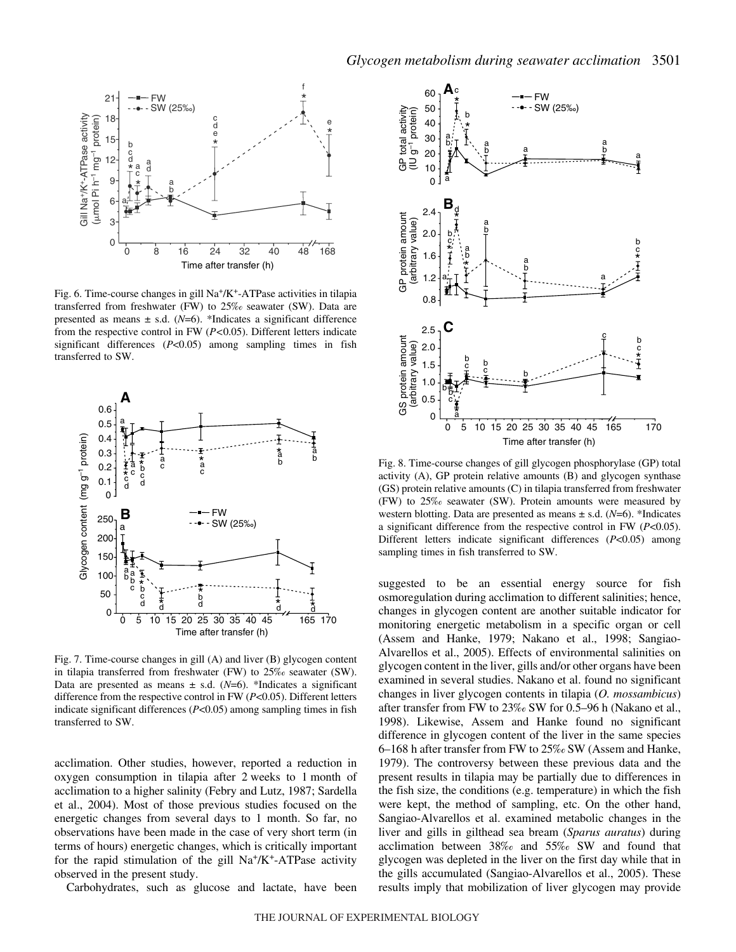

Fig. 6. Time-course changes in gill  $Na^+/K^+$ -ATPase activities in tilapia transferred from freshwater (FW) to 25‰ seawater (SW). Data are presented as means  $\pm$  s.d. (*N*=6). \*Indicates a significant difference from the respective control in FW (*P<*0.05). Different letters indicate significant differences (*P*<0.05) among sampling times in fish transferred to SW.



Fig. 7. Time-course changes in gill (A) and liver (B) glycogen content in tilapia transferred from freshwater (FW) to 25‰ seawater (SW). Data are presented as means  $\pm$  s.d. (*N*=6). \*Indicates a significant difference from the respective control in FW (*P*<0.05). Different letters indicate significant differences (*P*<0.05) among sampling times in fish transferred to SW.

acclimation. Other studies, however, reported a reduction in oxygen consumption in tilapia after 2 weeks to 1 month of acclimation to a higher salinity (Febry and Lutz, 1987; Sardella et al., 2004). Most of those previous studies focused on the energetic changes from several days to 1 month. So far, no observations have been made in the case of very short term (in terms of hours) energetic changes, which is critically important for the rapid stimulation of the gill  $Na^+/K^+$ -ATPase activity observed in the present study.

Carbohydrates, such as glucose and lactate, have been



Fig. 8. Time-course changes of gill glycogen phosphorylase (GP) total activity (A), GP protein relative amounts (B) and glycogen synthase (GS) protein relative amounts (C) in tilapia transferred from freshwater (FW) to 25‰ seawater (SW). Protein amounts were measured by western blotting. Data are presented as means  $\pm$  s.d. (*N*=6). \*Indicates a significant difference from the respective control in FW (*P*<0.05). Different letters indicate significant differences (*P*<0.05) among sampling times in fish transferred to SW.

suggested to be an essential energy source for fish osmoregulation during acclimation to different salinities; hence, changes in glycogen content are another suitable indicator for monitoring energetic metabolism in a specific organ or cell (Assem and Hanke, 1979; Nakano et al., 1998; Sangiao-Alvarellos et al., 2005). Effects of environmental salinities on glycogen content in the liver, gills and/or other organs have been examined in several studies. Nakano et al. found no significant changes in liver glycogen contents in tilapia (*O. mossambicus*) after transfer from FW to  $23\%$  SW for 0.5–96 h (Nakano et al., 1998). Likewise, Assem and Hanke found no significant difference in glycogen content of the liver in the same species 6–168·h after transfer from FW to 25‰ SW (Assem and Hanke, 1979). The controversy between these previous data and the present results in tilapia may be partially due to differences in the fish size, the conditions (e.g. temperature) in which the fish were kept, the method of sampling, etc. On the other hand, Sangiao-Alvarellos et al. examined metabolic changes in the liver and gills in gilthead sea bream (*Sparus auratus*) during acclimation between 38‰ and 55‰ SW and found that glycogen was depleted in the liver on the first day while that in the gills accumulated (Sangiao-Alvarellos et al., 2005). These results imply that mobilization of liver glycogen may provide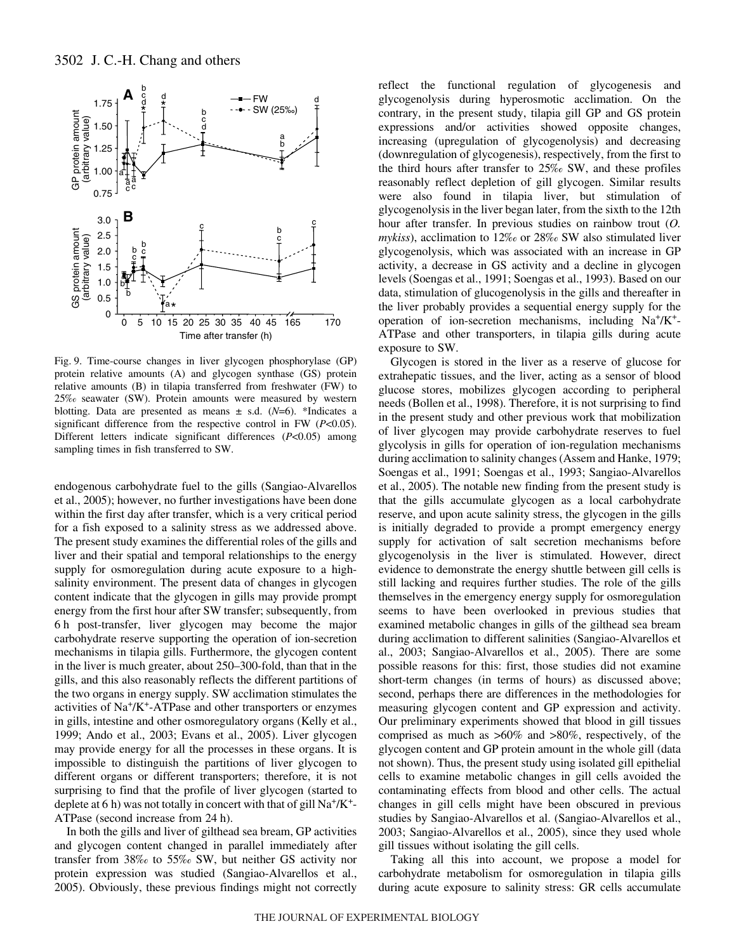

Fig. 9. Time-course changes in liver glycogen phosphorylase (GP) protein relative amounts (A) and glycogen synthase (GS) protein relative amounts (B) in tilapia transferred from freshwater (FW) to 25‰ seawater (SW). Protein amounts were measured by western blotting. Data are presented as means  $\pm$  s.d.  $(N=6)$ . \*Indicates a significant difference from the respective control in FW (*P*<0.05). Different letters indicate significant differences (*P*<0.05) among sampling times in fish transferred to SW.

endogenous carbohydrate fuel to the gills (Sangiao-Alvarellos et al., 2005); however, no further investigations have been done within the first day after transfer, which is a very critical period for a fish exposed to a salinity stress as we addressed above. The present study examines the differential roles of the gills and liver and their spatial and temporal relationships to the energy supply for osmoregulation during acute exposure to a highsalinity environment. The present data of changes in glycogen content indicate that the glycogen in gills may provide prompt energy from the first hour after SW transfer; subsequently, from 6·h post-transfer, liver glycogen may become the major carbohydrate reserve supporting the operation of ion-secretion mechanisms in tilapia gills. Furthermore, the glycogen content in the liver is much greater, about 250–300-fold, than that in the gills, and this also reasonably reflects the different partitions of the two organs in energy supply. SW acclimation stimulates the activities of Na+/K+-ATPase and other transporters or enzymes in gills, intestine and other osmoregulatory organs (Kelly et al., 1999; Ando et al., 2003; Evans et al., 2005). Liver glycogen may provide energy for all the processes in these organs. It is impossible to distinguish the partitions of liver glycogen to different organs or different transporters; therefore, it is not surprising to find that the profile of liver glycogen (started to deplete at 6 h) was not totally in concert with that of gill  $Na^+/K^+$ -ATPase (second increase from 24 h).

In both the gills and liver of gilthead sea bream, GP activities and glycogen content changed in parallel immediately after transfer from 38‰ to 55‰ SW, but neither GS activity nor protein expression was studied (Sangiao-Alvarellos et al., 2005). Obviously, these previous findings might not correctly reflect the functional regulation of glycogenesis and glycogenolysis during hyperosmotic acclimation. On the contrary, in the present study, tilapia gill GP and GS protein expressions and/or activities showed opposite changes, increasing (upregulation of glycogenolysis) and decreasing (downregulation of glycogenesis), respectively, from the first to the third hours after transfer to 25‰ SW, and these profiles reasonably reflect depletion of gill glycogen. Similar results were also found in tilapia liver, but stimulation of glycogenolysis in the liver began later, from the sixth to the 12th hour after transfer. In previous studies on rainbow trout (*O. mykiss*), acclimation to 12‰ or 28‰ SW also stimulated liver glycogenolysis, which was associated with an increase in GP activity, a decrease in GS activity and a decline in glycogen levels (Soengas et al., 1991; Soengas et al., 1993). Based on our data, stimulation of glucogenolysis in the gills and thereafter in the liver probably provides a sequential energy supply for the operation of ion-secretion mechanisms, including  $Na^+/K^+$ -ATPase and other transporters, in tilapia gills during acute exposure to SW.

Glycogen is stored in the liver as a reserve of glucose for extrahepatic tissues, and the liver, acting as a sensor of blood glucose stores, mobilizes glycogen according to peripheral needs (Bollen et al., 1998). Therefore, it is not surprising to find in the present study and other previous work that mobilization of liver glycogen may provide carbohydrate reserves to fuel glycolysis in gills for operation of ion-regulation mechanisms during acclimation to salinity changes (Assem and Hanke, 1979; Soengas et al., 1991; Soengas et al., 1993; Sangiao-Alvarellos et al., 2005). The notable new finding from the present study is that the gills accumulate glycogen as a local carbohydrate reserve, and upon acute salinity stress, the glycogen in the gills is initially degraded to provide a prompt emergency energy supply for activation of salt secretion mechanisms before glycogenolysis in the liver is stimulated. However, direct evidence to demonstrate the energy shuttle between gill cells is still lacking and requires further studies. The role of the gills themselves in the emergency energy supply for osmoregulation seems to have been overlooked in previous studies that examined metabolic changes in gills of the gilthead sea bream during acclimation to different salinities (Sangiao-Alvarellos et al., 2003; Sangiao-Alvarellos et al., 2005). There are some possible reasons for this: first, those studies did not examine short-term changes (in terms of hours) as discussed above; second, perhaps there are differences in the methodologies for measuring glycogen content and GP expression and activity. Our preliminary experiments showed that blood in gill tissues comprised as much as >60% and >80%, respectively, of the glycogen content and GP protein amount in the whole gill (data not shown). Thus, the present study using isolated gill epithelial cells to examine metabolic changes in gill cells avoided the contaminating effects from blood and other cells. The actual changes in gill cells might have been obscured in previous studies by Sangiao-Alvarellos et al. (Sangiao-Alvarellos et al., 2003; Sangiao-Alvarellos et al., 2005), since they used whole gill tissues without isolating the gill cells.

Taking all this into account, we propose a model for carbohydrate metabolism for osmoregulation in tilapia gills during acute exposure to salinity stress: GR cells accumulate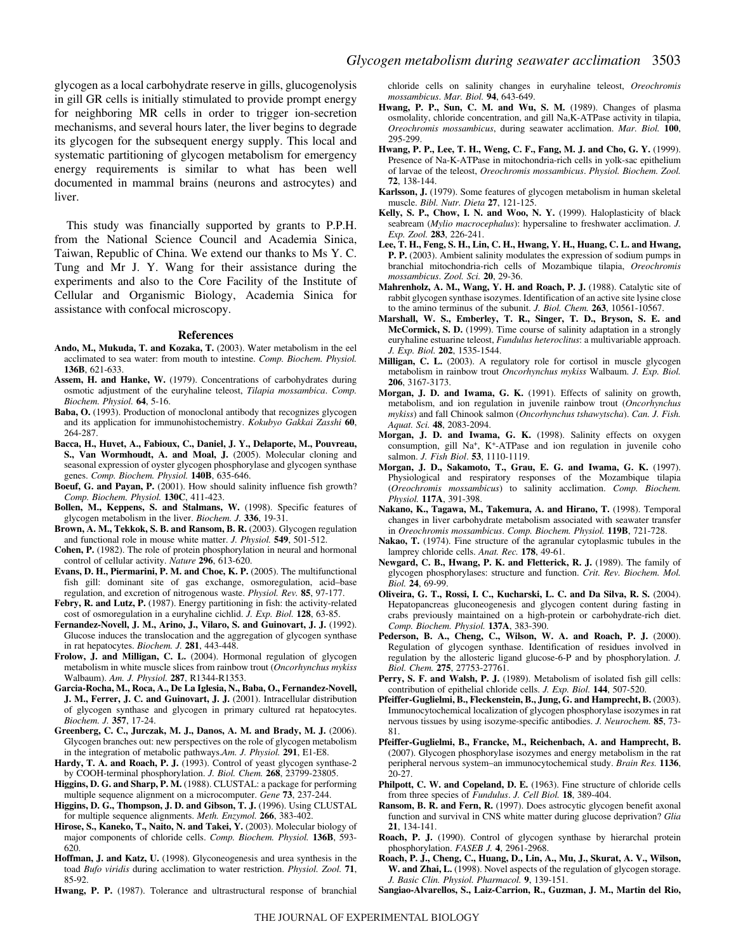glycogen as a local carbohydrate reserve in gills, glucogenolysis in gill GR cells is initially stimulated to provide prompt energy for neighboring MR cells in order to trigger ion-secretion mechanisms, and several hours later, the liver begins to degrade its glycogen for the subsequent energy supply. This local and systematic partitioning of glycogen metabolism for emergency energy requirements is similar to what has been well documented in mammal brains (neurons and astrocytes) and liver.

This study was financially supported by grants to P.P.H. from the National Science Council and Academia Sinica, Taiwan, Republic of China. We extend our thanks to Ms Y. C. Tung and Mr J. Y. Wang for their assistance during the experiments and also to the Core Facility of the Institute of Cellular and Organismic Biology, Academia Sinica for assistance with confocal microscopy.

#### **References**

- **Ando, M., Mukuda, T. and Kozaka, T.** (2003). Water metabolism in the eel acclimated to sea water: from mouth to intestine. *Comp. Biochem. Physiol.* **136B**, 621-633.
- **Assem, H. and Hanke, W.** (1979). Concentrations of carbohydrates during osmotic adjustment of the euryhaline teleost, *Tilapia mossambica*. *Comp. Biochem. Physiol.* **64**, 5-16.
- **Baba, O.** (1993). Production of monoclonal antibody that recognizes glycogen and its application for immunohistochemistry. *Kokubyo Gakkai Zasshi* **60**, 264-287.
- **Bacca, H., Huvet, A., Fabioux, C., Daniel, J. Y., Delaporte, M., Pouvreau, S., Van Wormhoudt, A. and Moal, J.** (2005). Molecular cloning and seasonal expression of oyster glycogen phosphorylase and glycogen synthase genes. *Comp. Biochem. Physiol.* **140B**, 635-646.
- **Boeuf, G. and Payan, P.** (2001). How should salinity influence fish growth? *Comp. Biochem. Physiol.* **130C**, 411-423.
- **Bollen, M., Keppens, S. and Stalmans, W.** (1998). Specific features of glycogen metabolism in the liver. *Biochem. J.* **336**, 19-31.
- **Brown, A. M., Tekkok, S. B. and Ransom, B. R.** (2003). Glycogen regulation and functional role in mouse white matter. *J. Physiol.* **549**, 501-512.
- **Cohen, P.** (1982). The role of protein phosphorylation in neural and hormonal control of cellular activity. *Nature* **296**, 613-620.
- **Evans, D. H., Piermarini, P. M. and Choe, K. P.** (2005). The multifunctional fish gill: dominant site of gas exchange, osmoregulation, acid–base regulation, and excretion of nitrogenous waste. *Physiol. Rev.* **85**, 97-177.
- **Febry, R. and Lutz, P.** (1987). Energy partitioning in fish: the activity-related cost of osmoregulation in a euryhaline cichlid. *J. Exp. Biol.* **128**, 63-85.
- **Fernandez-Novell, J. M., Arino, J., Vilaro, S. and Guinovart, J. J.** (1992). Glucose induces the translocation and the aggregation of glycogen synthase in rat hepatocytes. *Biochem. J.* **281**, 443-448.
- **Frolow, J. and Milligan, C. L.** (2004). Hormonal regulation of glycogen metabolism in white muscle slices from rainbow trout (*Oncorhynchus mykiss* Walbaum). *Am. J. Physiol.* **287**, R1344-R1353.
- **Garcia-Rocha, M., Roca, A., De La Iglesia, N., Baba, O., Fernandez-Novell, J. M., Ferrer, J. C. and Guinovart, J. J.** (2001). Intracellular distribution of glycogen synthase and glycogen in primary cultured rat hepatocytes. *Biochem. J.* **357**, 17-24.
- **Greenberg, C. C., Jurczak, M. J., Danos, A. M. and Brady, M. J.** (2006). Glycogen branches out: new perspectives on the role of glycogen metabolism in the integration of metabolic pathways.*Am. J. Physiol.* **291**, E1-E8.
- Hardy, T. A. and Roach, P. J. (1993). Control of yeast glycogen synthase-2 by COOH-terminal phosphorylation. *J. Biol. Chem.* **268**, 23799-23805.
- **Higgins, D. G. and Sharp, P. M.** (1988). CLUSTAL: a package for performing multiple sequence alignment on a microcomputer. *Gene* **73**, 237-244.
- **Higgins, D. G., Thompson, J. D. and Gibson, T. J.** (1996). Using CLUSTAL for multiple sequence alignments. *Meth. Enzymol.* **266**, 383-402.
- **Hirose, S., Kaneko, T., Naito, N. and Takei, Y.** (2003). Molecular biology of major components of chloride cells. *Comp. Biochem. Physiol.* **136B**, 593- 620.
- **Hoffman, J. and Katz, U.** (1998). Glyconeogenesis and urea synthesis in the toad *Bufo viridis* during acclimation to water restriction. *Physiol. Zool.* **71**, 85-92.

**Hwang, P. P.** (1987). Tolerance and ultrastructural response of branchial

chloride cells on salinity changes in euryhaline teleost, *Oreochromis mossambicus*. *Mar. Biol.* **94**, 643-649.

- **Hwang, P. P., Sun, C. M. and Wu, S. M.** (1989). Changes of plasma osmolality, chloride concentration, and gill Na,K-ATPase activity in tilapia, *Oreochromis mossambicus*, during seawater acclimation. *Mar. Biol.* **100**, 295-299.
- **Hwang, P. P., Lee, T. H., Weng, C. F., Fang, M. J. and Cho, G. Y.** (1999). Presence of Na-K-ATPase in mitochondria-rich cells in yolk-sac epithelium of larvae of the teleost, *Oreochromis mossambicus*. *Physiol. Biochem. Zool.* **72**, 138-144.
- **Karlsson, J.** (1979). Some features of glycogen metabolism in human skeletal muscle. *Bibl. Nutr. Dieta* **27**, 121-125.
- **Kelly, S. P., Chow, I. N. and Woo, N. Y.** (1999). Haloplasticity of black seabream (*Mylio macrocephalus*): hypersaline to freshwater acclimation. *J. Exp. Zool.* **283**, 226-241.
- **Lee, T. H., Feng, S. H., Lin, C. H., Hwang, Y. H., Huang, C. L. and Hwang, P. P.** (2003). Ambient salinity modulates the expression of sodium pumps in branchial mitochondria-rich cells of Mozambique tilapia, *Oreochromis mossambicus*. *Zool. Sci.* **20**, 29-36.
- **Mahrenholz, A. M., Wang, Y. H. and Roach, P. J.** (1988). Catalytic site of rabbit glycogen synthase isozymes. Identification of an active site lysine close to the amino terminus of the subunit. *J. Biol. Chem.* **263**, 10561-10567.
- **Marshall, W. S., Emberley, T. R., Singer, T. D., Bryson, S. E. and McCormick, S. D.** (1999). Time course of salinity adaptation in a strongly euryhaline estuarine teleost, *Fundulus heteroclitus*: a multivariable approach. *J. Exp. Biol.* **202**, 1535-1544.
- **Milligan, C. L.** (2003). A regulatory role for cortisol in muscle glycogen metabolism in rainbow trout *Oncorhynchus mykiss* Walbaum. *J. Exp. Biol.* **206**, 3167-3173.
- **Morgan, J. D. and Iwama, G. K.** (1991). Effects of salinity on growth, metabolism, and ion regulation in juvenile rainbow trout (*Oncorhynchus mykiss*) and fall Chinook salmon (*Oncorhynchus tshawytscha*). *Can. J. Fish. Aquat. Sci.* **48**, 2083-2094.
- **Morgan, J. D. and Iwama, G. K.** (1998). Salinity effects on oxygen consumption, gill  $Na<sup>+</sup>$ , K<sup>+</sup>-ATPase and ion regulation in juvenile coho salmon. *J. Fish Biol*. **53**, 1110-1119.
- **Morgan, J. D., Sakamoto, T., Grau, E. G. and Iwama, G. K.** (1997). Physiological and respiratory responses of the Mozambique tilapia (*Oreochromis mossambicus*) to salinity acclimation. *Comp. Biochem. Physiol.* **117A**, 391-398.
- **Nakano, K., Tagawa, M., Takemura, A. and Hirano, T.** (1998). Temporal changes in liver carbohydrate metabolism associated with seawater transfer in *Oreochromis mossambicus*. *Comp. Biochem. Physiol.* **119B**, 721-728.
- **Nakao, T.** (1974). Fine structure of the agranular cytoplasmic tubules in the lamprey chloride cells. *Anat. Rec.* **178**, 49-61.
- **Newgard, C. B., Hwang, P. K. and Fletterick, R. J.** (1989). The family of glycogen phosphorylases: structure and function. *Crit. Rev. Biochem. Mol. Biol.* **24**, 69-99.
- **Oliveira, G. T., Rossi, I. C., Kucharski, L. C. and Da Silva, R. S.** (2004). Hepatopancreas gluconeogenesis and glycogen content during fasting in crabs previously maintained on a high-protein or carbohydrate-rich diet. *Comp. Biochem. Physiol.* **137A**, 383-390.
- **Pederson, B. A., Cheng, C., Wilson, W. A. and Roach, P. J.** (2000). Regulation of glycogen synthase. Identification of residues involved in regulation by the allosteric ligand glucose-6-P and by phosphorylation. *J. Biol. Chem.* **275**, 27753-27761.
- Perry, S. F. and Walsh, P. J. (1989). Metabolism of isolated fish gill cells: contribution of epithelial chloride cells. *J. Exp. Biol.* **144**, 507-520.
- **Pfeiffer-Guglielmi, B., Fleckenstein, B., Jung, G. and Hamprecht, B.** (2003). Immunocytochemical localization of glycogen phosphorylase isozymes in rat nervous tissues by using isozyme-specific antibodies. *J. Neurochem.* **85**, 73- 81.
- **Pfeiffer-Guglielmi, B., Francke, M., Reichenbach, A. and Hamprecht, B.** (2007). Glycogen phosphorylase isozymes and energy metabolism in the rat peripheral nervous system–an immunocytochemical study. *Brain Res.* **1136**, 20-27.
- **Philpott, C. W. and Copeland, D. E.** (1963). Fine structure of chloride cells from three species of *Fundulus*. *J. Cell Biol.* **18**, 389-404.
- **Ransom, B. R. and Fern, R.** (1997). Does astrocytic glycogen benefit axonal function and survival in CNS white matter during glucose deprivation? *Glia* **21**, 134-141.
- **Roach, P. J.** (1990). Control of glycogen synthase by hierarchal protein phosphorylation. *FASEB J.* **4**, 2961-2968.
- **Roach, P. J., Cheng, C., Huang, D., Lin, A., Mu, J., Skurat, A. V., Wilson, W. and Zhai, L.** (1998). Novel aspects of the regulation of glycogen storage. *J. Basic Clin. Physiol. Pharmacol.* **9**, 139-151.
- **Sangiao-Alvarellos, S., Laiz-Carrion, R., Guzman, J. M., Martin del Rio,**